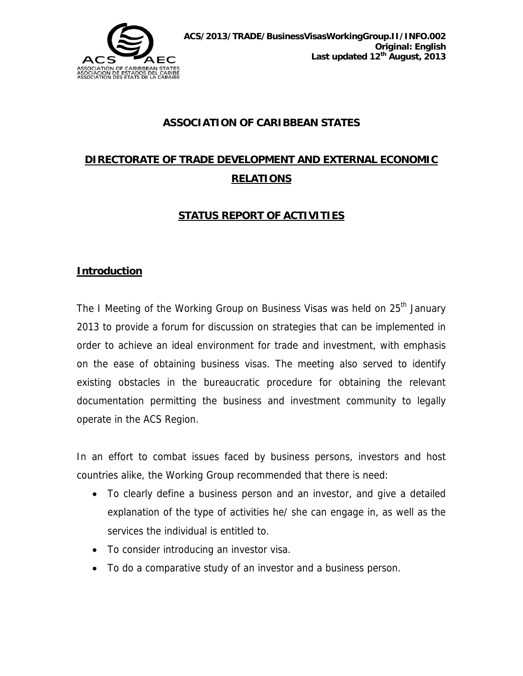

## **ASSOCIATION OF CARIBBEAN STATES**

# **DIRECTORATE OF TRADE DEVELOPMENT AND EXTERNAL ECONOMIC RELATIONS**

# **STATUS REPORT OF ACTIVITIES**

#### **Introduction**

The I Meeting of the Working Group on Business Visas was held on 25<sup>th</sup> January 2013 to provide a forum for discussion on strategies that can be implemented in order to achieve an ideal environment for trade and investment, with emphasis on the ease of obtaining business visas. The meeting also served to identify existing obstacles in the bureaucratic procedure for obtaining the relevant documentation permitting the business and investment community to legally operate in the ACS Region.

In an effort to combat issues faced by business persons, investors and host countries alike, the Working Group recommended that there is need:

- To clearly define a business person and an investor, and give a detailed explanation of the type of activities he/ she can engage in, as well as the services the individual is entitled to.
- To consider introducing an investor visa.
- To do a comparative study of an investor and a business person.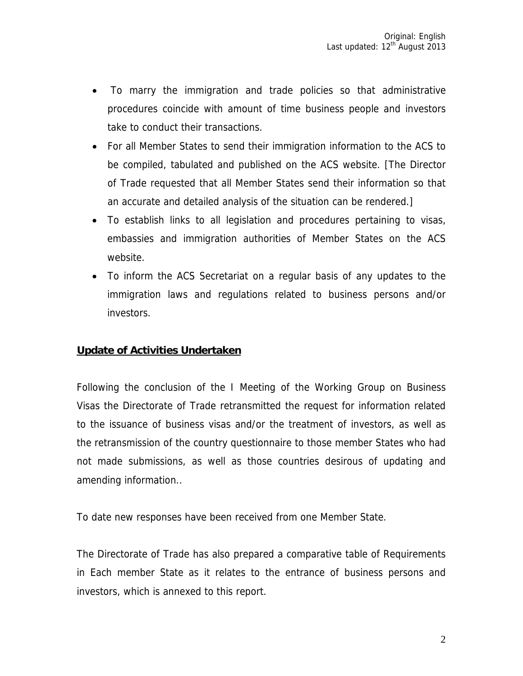- To marry the immigration and trade policies so that administrative procedures coincide with amount of time business people and investors take to conduct their transactions.
- For all Member States to send their immigration information to the ACS to be compiled, tabulated and published on the ACS website. [The Director of Trade requested that all Member States send their information so that an accurate and detailed analysis of the situation can be rendered.]
- To establish links to all legislation and procedures pertaining to visas, embassies and immigration authorities of Member States on the ACS website.
- To inform the ACS Secretariat on a regular basis of any updates to the immigration laws and regulations related to business persons and/or investors.

## **Update of Activities Undertaken**

Following the conclusion of the I Meeting of the Working Group on Business Visas the Directorate of Trade retransmitted the request for information related to the issuance of business visas and/or the treatment of investors, as well as the retransmission of the country questionnaire to those member States who had not made submissions, as well as those countries desirous of updating and amending information..

To date new responses have been received from one Member State.

The Directorate of Trade has also prepared a comparative table of Requirements in Each member State as it relates to the entrance of business persons and investors, which is annexed to this report.